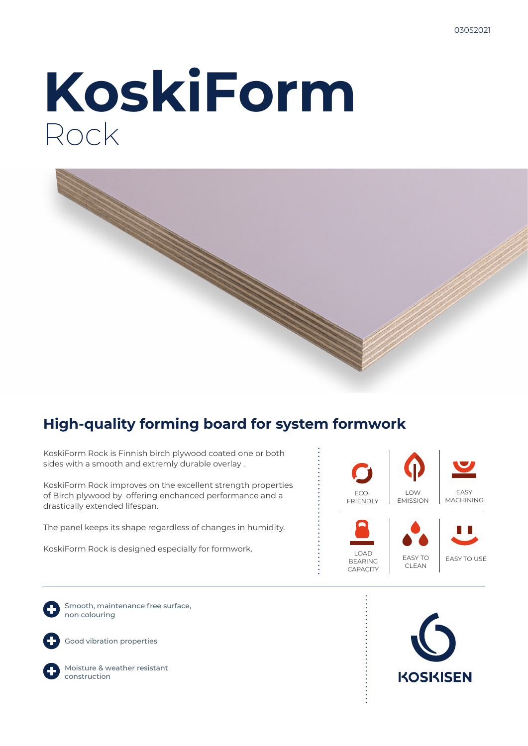# **KoskiForm** Rock



### **High-quality forming board for system formwork**

KoskiForm Rock is Finnish birch plywood coated one or both sides with a smooth and extremly durable overlay .

KoskiForm Rock improves on the excellent strength properties of Birch plywood by offering enchanced performance and a drastically extended lifespan.

The panel keeps its shape regardless of changes in humidity.

KoskiForm Rock is designed especially for formwork.



Smooth, maintenance free surface, non colouring

Good vibration properties



Moisture & weather resistant construction